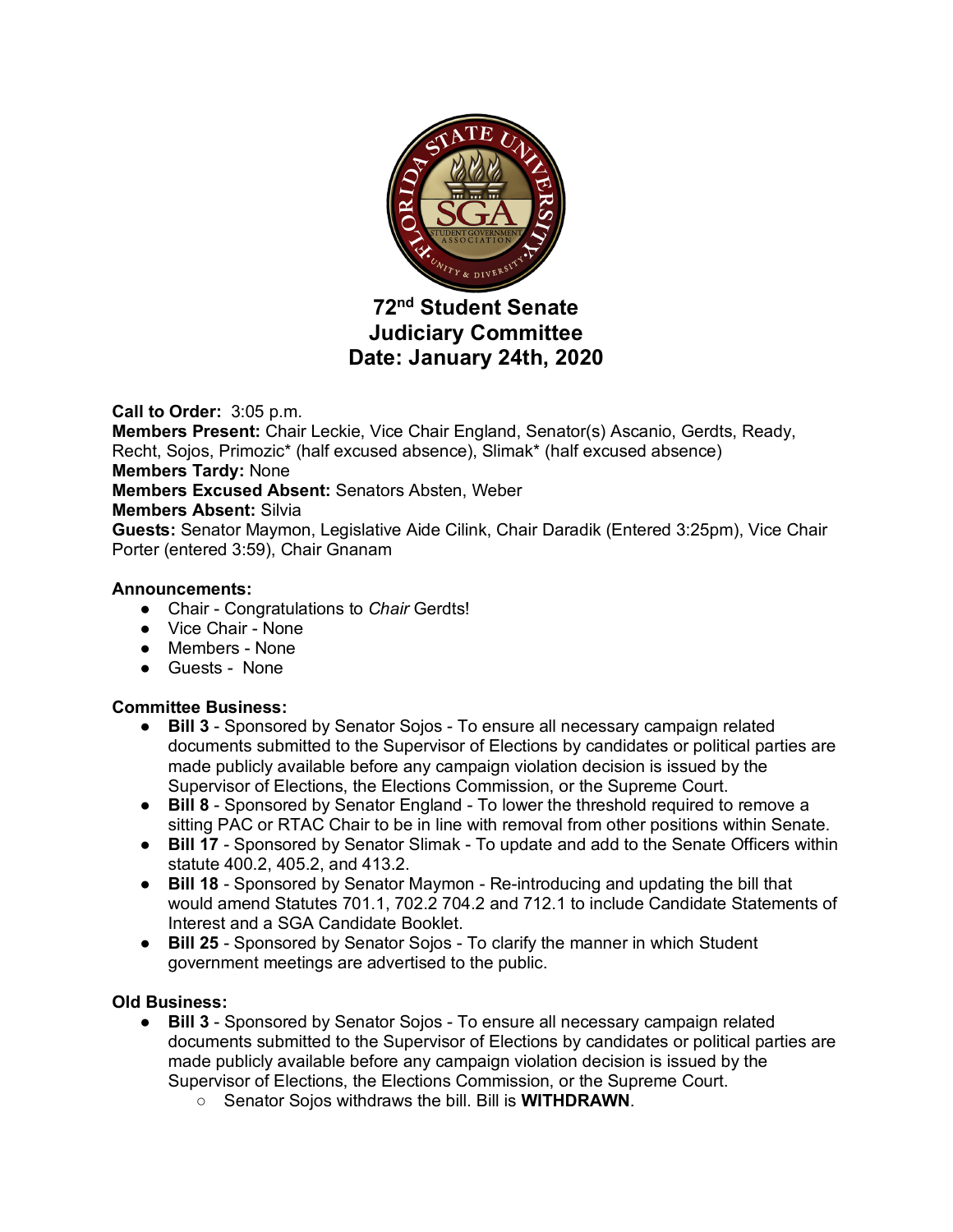

# **72nd Student Senate Judiciary Committee Date: January 24th, 2020**

**Call to Order:** 3:05 p.m.

**Members Present:** Chair Leckie, Vice Chair England, Senator(s) Ascanio, Gerdts, Ready, Recht, Sojos, Primozic\* (half excused absence), Slimak\* (half excused absence) **Members Tardy:** None **Members Excused Absent:** Senators Absten, Weber **Members Absent:** Silvia **Guests:** Senator Maymon, Legislative Aide Cilink, Chair Daradik (Entered 3:25pm), Vice Chair Porter (entered 3:59), Chair Gnanam **Announcements:**

- Chair Congratulations to *Chair* Gerdts!
- Vice Chair None
- Members None
- Guests None

# **Committee Business:**

- **Bill 3** Sponsored by Senator Sojos To ensure all necessary campaign related documents submitted to the Supervisor of Elections by candidates or political parties are made publicly available before any campaign violation decision is issued by the Supervisor of Elections, the Elections Commission, or the Supreme Court.
- **Bill 8** Sponsored by Senator England To lower the threshold required to remove a sitting PAC or RTAC Chair to be in line with removal from other positions within Senate.
- **Bill 17** Sponsored by Senator Slimak To update and add to the Senate Officers within statute 400.2, 405.2, and 413.2.
- **Bill 18** Sponsored by Senator Maymon Re-introducing and updating the bill that would amend Statutes 701.1, 702.2 704.2 and 712.1 to include Candidate Statements of Interest and a SGA Candidate Booklet.
- **Bill 25** Sponsored by Senator Sojos To clarify the manner in which Student government meetings are advertised to the public.

# **Old Business:**

- **Bill 3** Sponsored by Senator Sojos To ensure all necessary campaign related documents submitted to the Supervisor of Elections by candidates or political parties are made publicly available before any campaign violation decision is issued by the Supervisor of Elections, the Elections Commission, or the Supreme Court.
	- Senator Sojos withdraws the bill. Bill is **WITHDRAWN**.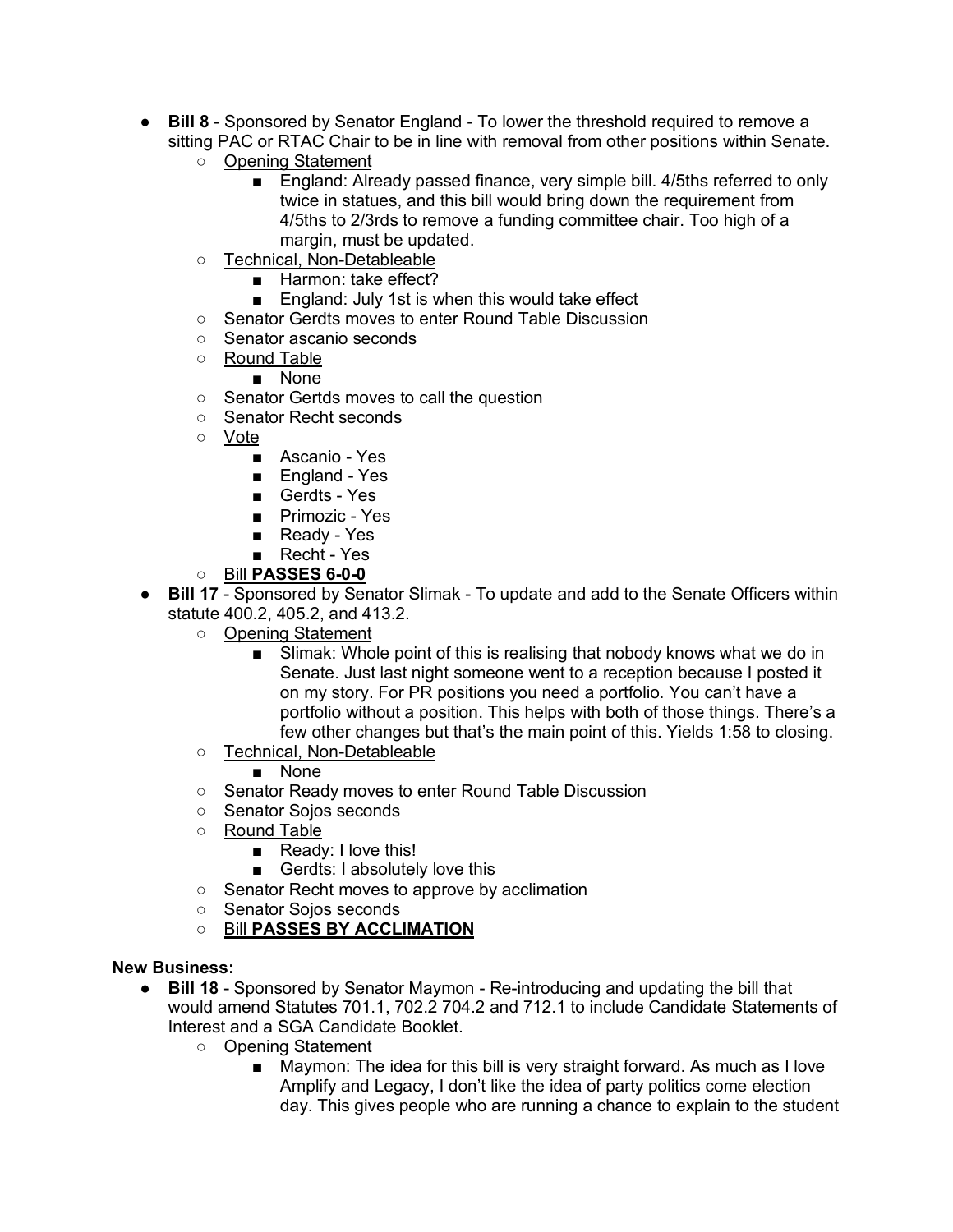- **Bill 8** Sponsored by Senator England To lower the threshold required to remove a sitting PAC or RTAC Chair to be in line with removal from other positions within Senate.
	- Opening Statement
		- England: Already passed finance, very simple bill. 4/5ths referred to only twice in statues, and this bill would bring down the requirement from 4/5ths to 2/3rds to remove a funding committee chair. Too high of a margin, must be updated.
	- Technical, Non-Detableable
		- Harmon: take effect?
		- England: July 1st is when this would take effect
	- Senator Gerdts moves to enter Round Table Discussion
	- Senator ascanio seconds
	- Round Table
		- None
	- Senator Gertds moves to call the question
	- Senator Recht seconds
	- Vote
		- Ascanio Yes
		- England Yes
		- Gerdts Yes
		- Primozic Yes
		- Ready Yes
		- Recht Yes
	- Bill **PASSES 6-0-0**
- **Bill 17** Sponsored by Senator Slimak To update and add to the Senate Officers within statute 400.2, 405.2, and 413.2.
	- Opening Statement
		- Slimak: Whole point of this is realising that nobody knows what we do in Senate. Just last night someone went to a reception because I posted it on my story. For PR positions you need a portfolio. You can't have a portfolio without a position. This helps with both of those things. There's a few other changes but that's the main point of this. Yields 1:58 to closing.
	- Technical, Non-Detableable

■ None

- Senator Ready moves to enter Round Table Discussion
- Senator Sojos seconds
- Round Table
	- Ready: I love this!
	- Gerdts: I absolutely love this
- Senator Recht moves to approve by acclimation
- Senator Sojos seconds
- Bill **PASSES BY ACCLIMATION**

### **New Business:**

- **Bill 18** Sponsored by Senator Maymon Re-introducing and updating the bill that would amend Statutes 701.1, 702.2 704.2 and 712.1 to include Candidate Statements of Interest and a SGA Candidate Booklet.
	- Opening Statement
		- Maymon: The idea for this bill is very straight forward. As much as I love Amplify and Legacy, I don't like the idea of party politics come election day. This gives people who are running a chance to explain to the student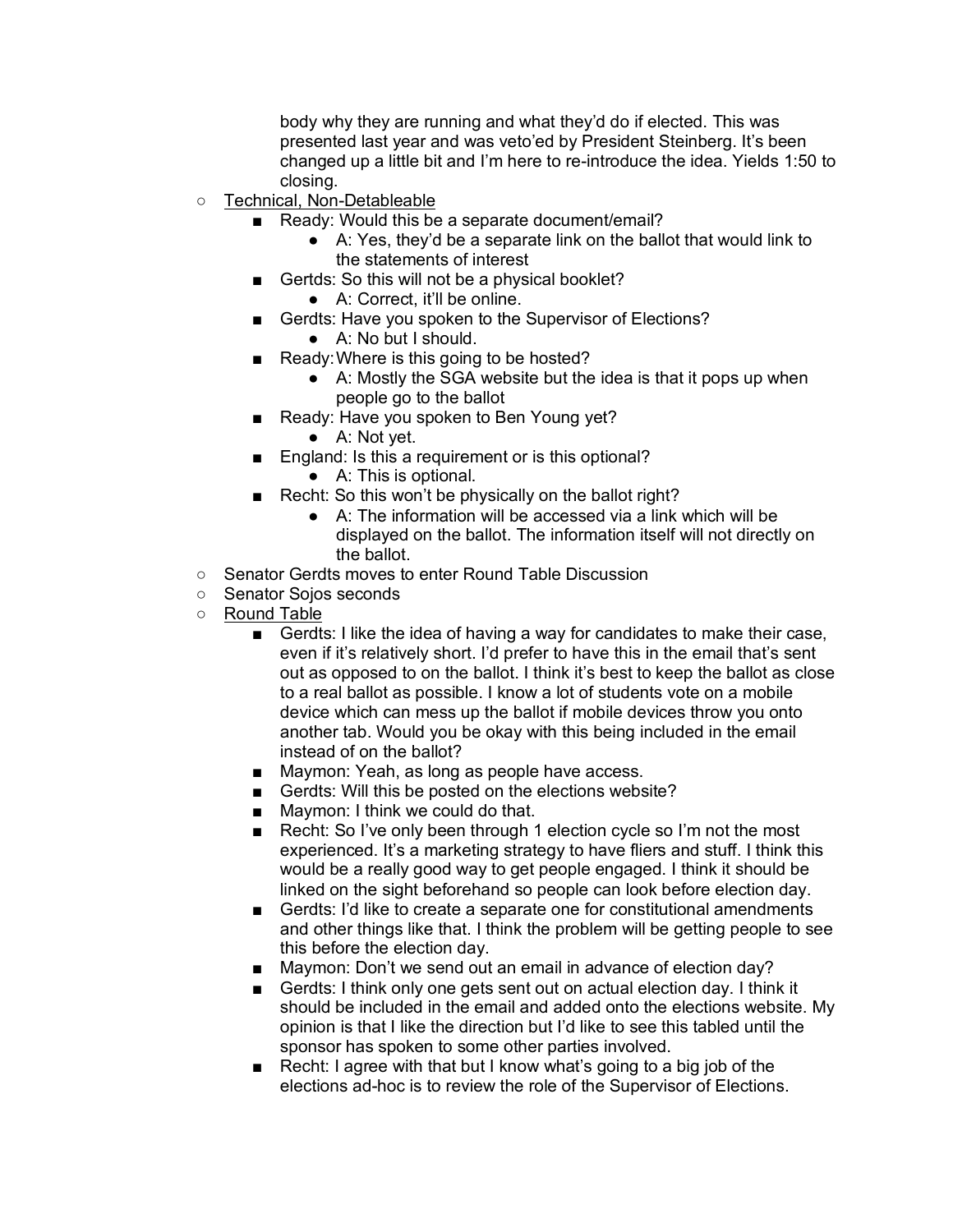body why they are running and what they'd do if elected. This was presented last year and was veto'ed by President Steinberg. It's been changed up a little bit and I'm here to re-introduce the idea. Yields 1:50 to closing.

- Technical, Non-Detableable
	- Ready: Would this be a separate document/email?
		- A: Yes, they'd be a separate link on the ballot that would link to the statements of interest
	- Gertds: So this will not be a physical booklet?
		- A: Correct, it'll be online.
	- Gerdts: Have you spoken to the Supervisor of Elections?
		- A: No but I should.
	- Ready: Where is this going to be hosted?
		- A: Mostly the SGA website but the idea is that it pops up when people go to the ballot
	- Ready: Have you spoken to Ben Young yet?
		- A: Not yet.
		- England: Is this a requirement or is this optional?
			- A: This is optional.
	- Recht: So this won't be physically on the ballot right?
		- A: The information will be accessed via a link which will be displayed on the ballot. The information itself will not directly on the ballot.
- Senator Gerdts moves to enter Round Table Discussion
- Senator Sojos seconds
- Round Table
	- Gerdts: I like the idea of having a way for candidates to make their case, even if it's relatively short. I'd prefer to have this in the email that's sent out as opposed to on the ballot. I think it's best to keep the ballot as close to a real ballot as possible. I know a lot of students vote on a mobile device which can mess up the ballot if mobile devices throw you onto another tab. Would you be okay with this being included in the email instead of on the ballot?
	- Maymon: Yeah, as long as people have access.
	- Gerdts: Will this be posted on the elections website?
	- Maymon: I think we could do that.
	- Recht: So I've only been through 1 election cycle so I'm not the most experienced. It's a marketing strategy to have fliers and stuff. I think this would be a really good way to get people engaged. I think it should be linked on the sight beforehand so people can look before election day.
	- Gerdts: I'd like to create a separate one for constitutional amendments and other things like that. I think the problem will be getting people to see this before the election day.
	- Maymon: Don't we send out an email in advance of election day?
	- Gerdts: I think only one gets sent out on actual election day. I think it should be included in the email and added onto the elections website. My opinion is that I like the direction but I'd like to see this tabled until the sponsor has spoken to some other parties involved.
	- Recht: I agree with that but I know what's going to a big job of the elections ad-hoc is to review the role of the Supervisor of Elections.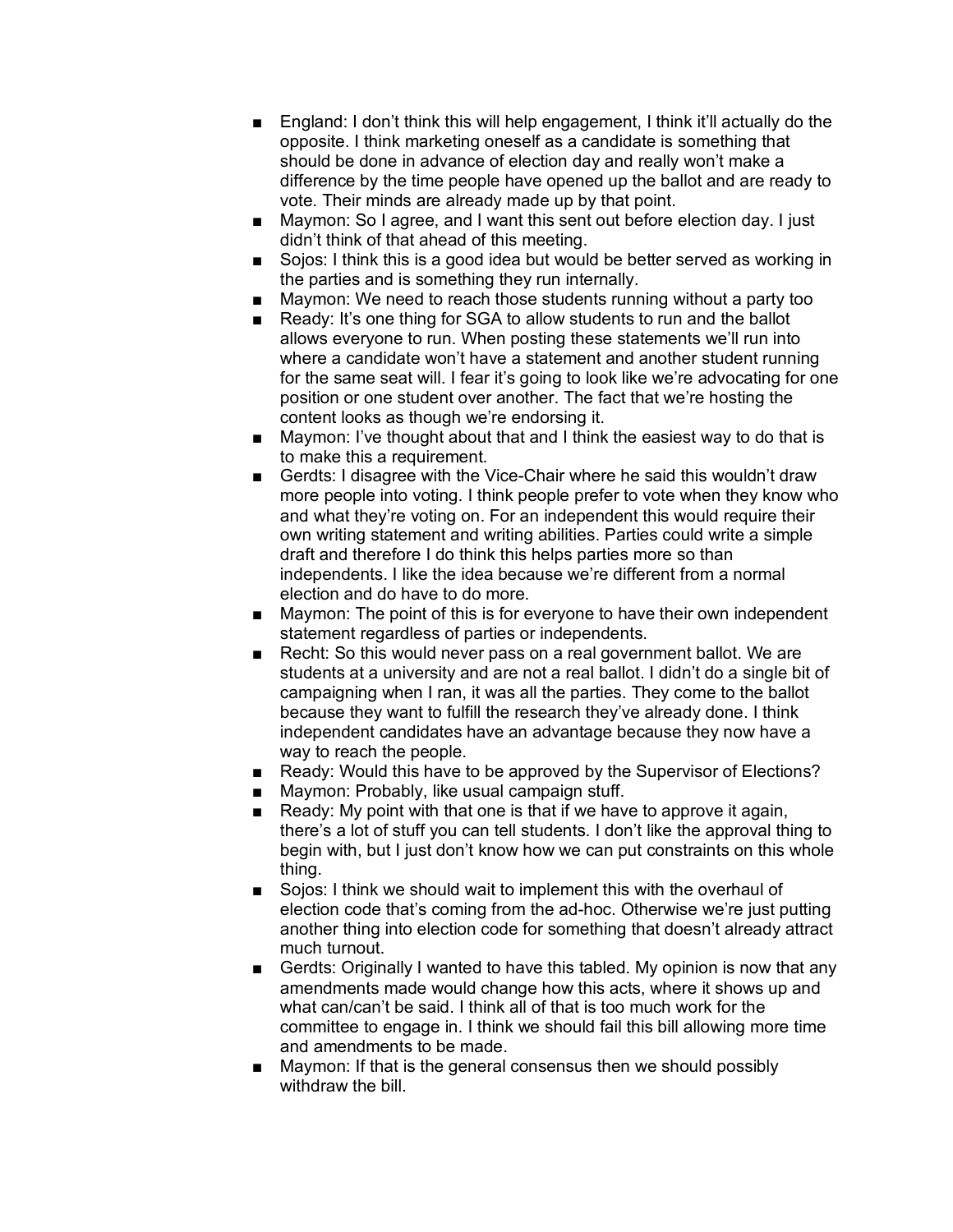- England: I don't think this will help engagement, I think it'll actually do the opposite. I think marketing oneself as a candidate is something that should be done in advance of election day and really won't make a difference by the time people have opened up the ballot and are ready to vote. Their minds are already made up by that point.
- Maymon: So I agree, and I want this sent out before election day. I just didn't think of that ahead of this meeting.
- Sojos: I think this is a good idea but would be better served as working in the parties and is something they run internally.
- Maymon: We need to reach those students running without a party too
- Ready: It's one thing for SGA to allow students to run and the ballot allows everyone to run. When posting these statements we'll run into where a candidate won't have a statement and another student running for the same seat will. I fear it's going to look like we're advocating for one position or one student over another. The fact that we're hosting the content looks as though we're endorsing it.
- Maymon: I've thought about that and I think the easiest way to do that is to make this a requirement.
- Gerdts: I disagree with the Vice-Chair where he said this wouldn't draw more people into voting. I think people prefer to vote when they know who and what they're voting on. For an independent this would require their own writing statement and writing abilities. Parties could write a simple draft and therefore I do think this helps parties more so than independents. I like the idea because we're different from a normal election and do have to do more.
- Maymon: The point of this is for everyone to have their own independent statement regardless of parties or independents.
- Recht: So this would never pass on a real government ballot. We are students at a university and are not a real ballot. I didn't do a single bit of campaigning when I ran, it was all the parties. They come to the ballot because they want to fulfill the research they've already done. I think independent candidates have an advantage because they now have a way to reach the people.
- Ready: Would this have to be approved by the Supervisor of Elections?
- Maymon: Probably, like usual campaign stuff.
- Ready: My point with that one is that if we have to approve it again, there's a lot of stuff you can tell students. I don't like the approval thing to begin with, but I just don't know how we can put constraints on this whole thing.
- Sojos: I think we should wait to implement this with the overhaul of election code that's coming from the ad-hoc. Otherwise we're just putting another thing into election code for something that doesn't already attract much turnout.
- Gerdts: Originally I wanted to have this tabled. My opinion is now that any amendments made would change how this acts, where it shows up and what can/can't be said. I think all of that is too much work for the committee to engage in. I think we should fail this bill allowing more time and amendments to be made.
- Maymon: If that is the general consensus then we should possibly withdraw the bill.